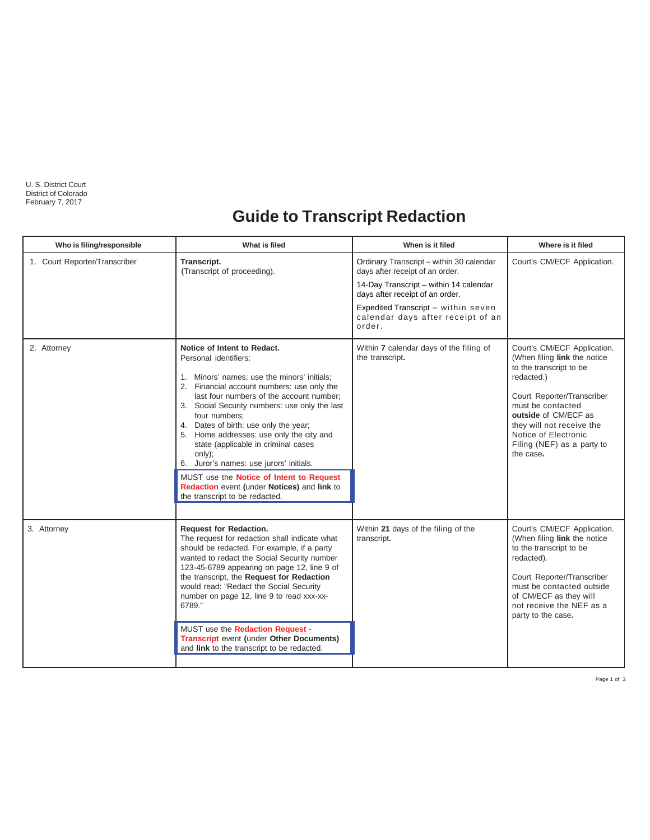U. S. District Court District of Colorado February 7, 2017

## **Guide to Transcript Redaction**

| Who is filing/responsible     | What is filed                                                                                                                                                                                                                                                                                                                                                                                                                                                                                                                                                                 | When is it filed                                                                                                                                                                                                                               | Where is it filed                                                                                                                                                                                                                                                               |
|-------------------------------|-------------------------------------------------------------------------------------------------------------------------------------------------------------------------------------------------------------------------------------------------------------------------------------------------------------------------------------------------------------------------------------------------------------------------------------------------------------------------------------------------------------------------------------------------------------------------------|------------------------------------------------------------------------------------------------------------------------------------------------------------------------------------------------------------------------------------------------|---------------------------------------------------------------------------------------------------------------------------------------------------------------------------------------------------------------------------------------------------------------------------------|
| 1. Court Reporter/Transcriber | Transcript.<br>(Transcript of proceeding).                                                                                                                                                                                                                                                                                                                                                                                                                                                                                                                                    | Ordinary Transcript - within 30 calendar<br>days after receipt of an order.<br>14-Day Transcript - within 14 calendar<br>days after receipt of an order.<br>Expedited Transcript - within seven<br>calendar days after receipt of an<br>order. | Court's CM/ECF Application.                                                                                                                                                                                                                                                     |
| 2. Attorney                   | Notice of Intent to Redact.<br>Personal identifiers:<br>1. Minors' names: use the minors' initials:<br>2. Financial account numbers: use only the<br>last four numbers of the account number;<br>3. Social Security numbers: use only the last<br>four numbers:<br>4. Dates of birth: use only the year;<br>5. Home addresses: use only the city and<br>state (applicable in criminal cases<br>only);<br>6. Juror's names: use jurors' initials.<br>MUST use the Notice of Intent to Request<br>Redaction event (under Notices) and link to<br>the transcript to be redacted. | Within 7 calendar days of the filing of<br>the transcript.                                                                                                                                                                                     | Court's CM/ECF Application.<br>(When filing link the notice<br>to the transcript to be<br>redacted.)<br>Court Reporter/Transcriber<br>must be contacted<br>outside of CM/ECF as<br>they will not receive the<br>Notice of Electronic<br>Filing (NEF) as a party to<br>the case. |
| 3. Attorney                   | <b>Request for Redaction.</b><br>The request for redaction shall indicate what<br>should be redacted. For example, if a party<br>wanted to redact the Social Security number<br>123-45-6789 appearing on page 12, line 9 of<br>the transcript, the Request for Redaction<br>would read: "Redact the Social Security<br>number on page 12, line 9 to read xxx-xx-<br>6789."<br>MUST use the Redaction Request -<br><b>Transcript event (under Other Documents)</b><br>and link to the transcript to be redacted.                                                               | Within 21 days of the filing of the<br>transcript.                                                                                                                                                                                             | Court's CM/ECF Application.<br>(When filing link the notice<br>to the transcript to be<br>redacted).<br>Court Reporter/Transcriber<br>must be contacted outside<br>of CM/ECF as they will<br>not receive the NEF as a<br>party to the case.                                     |